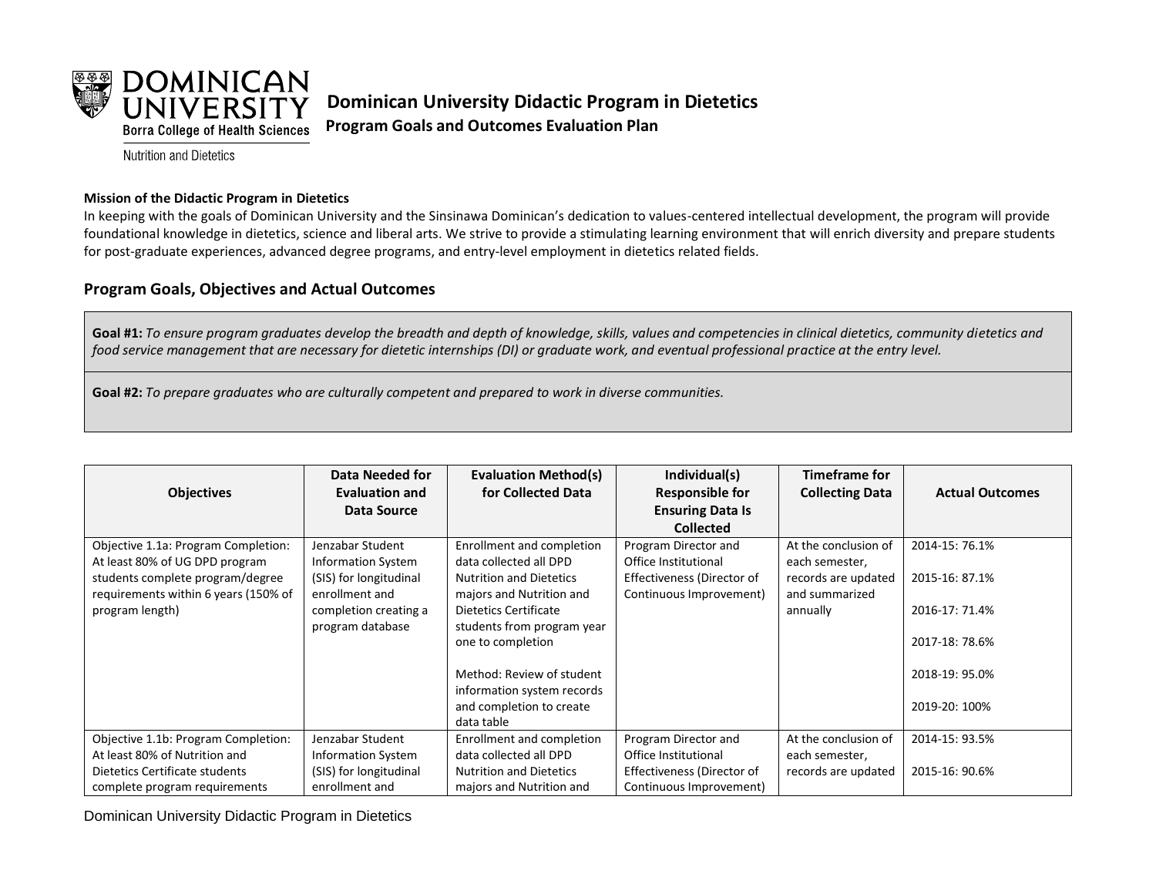

**Dominican University Didactic Program in Dietetics Program Goals and Outcomes Evaluation Plan**

**Nutrition and Dietetics** 

## **Mission of the Didactic Program in Dietetics**

In keeping with the goals of Dominican University and the Sinsinawa Dominican's dedication to values-centered intellectual development, the program will provide foundational knowledge in dietetics, science and liberal arts. We strive to provide a stimulating learning environment that will enrich diversity and prepare students for post-graduate experiences, advanced degree programs, and entry-level employment in dietetics related fields.

## **Program Goals, Objectives and Actual Outcomes**

Goal #1: To ensure program graduates develop the breadth and depth of knowledge, skills, values and competencies in clinical dietetics, community dietetics and *food service management that are necessary for dietetic internships (DI) or graduate work, and eventual professional practice at the entry level.*

**Goal #2:** *To prepare graduates who are culturally competent and prepared to work in diverse communities.*

| <b>Objectives</b>                    | Data Needed for<br><b>Evaluation and</b> | <b>Evaluation Method(s)</b><br>for Collected Data | Individual(s)<br><b>Responsible for</b> | <b>Timeframe for</b><br><b>Collecting Data</b> | <b>Actual Outcomes</b> |
|--------------------------------------|------------------------------------------|---------------------------------------------------|-----------------------------------------|------------------------------------------------|------------------------|
|                                      | Data Source                              |                                                   | <b>Ensuring Data Is</b>                 |                                                |                        |
|                                      |                                          |                                                   | <b>Collected</b>                        |                                                |                        |
| Objective 1.1a: Program Completion:  | Jenzabar Student                         | Enrollment and completion                         | Program Director and                    | At the conclusion of                           | 2014-15: 76.1%         |
| At least 80% of UG DPD program       | <b>Information System</b>                | data collected all DPD                            | Office Institutional                    | each semester,                                 |                        |
| students complete program/degree     | (SIS) for longitudinal                   | <b>Nutrition and Dietetics</b>                    | Effectiveness (Director of              | records are updated                            | 2015-16: 87.1%         |
| requirements within 6 years (150% of | enrollment and                           | majors and Nutrition and                          | Continuous Improvement)                 | and summarized                                 |                        |
| program length)                      | completion creating a                    | Dietetics Certificate                             |                                         | annually                                       | 2016-17: 71.4%         |
|                                      | program database                         | students from program year                        |                                         |                                                |                        |
|                                      |                                          | one to completion                                 |                                         |                                                | 2017-18: 78.6%         |
|                                      |                                          |                                                   |                                         |                                                |                        |
|                                      |                                          | Method: Review of student                         |                                         |                                                | 2018-19: 95.0%         |
|                                      |                                          | information system records                        |                                         |                                                |                        |
|                                      |                                          | and completion to create                          |                                         |                                                | 2019-20: 100%          |
|                                      |                                          | data table                                        |                                         |                                                |                        |
| Objective 1.1b: Program Completion:  | Jenzabar Student                         | Enrollment and completion                         | Program Director and                    | At the conclusion of                           | 2014-15: 93.5%         |
| At least 80% of Nutrition and        | <b>Information System</b>                | data collected all DPD                            | Office Institutional                    | each semester,                                 |                        |
| Dietetics Certificate students       | (SIS) for longitudinal                   | <b>Nutrition and Dietetics</b>                    | Effectiveness (Director of              | records are updated                            | 2015-16: 90.6%         |
| complete program requirements        | enrollment and                           | majors and Nutrition and                          | Continuous Improvement)                 |                                                |                        |

Dominican University Didactic Program in Dietetics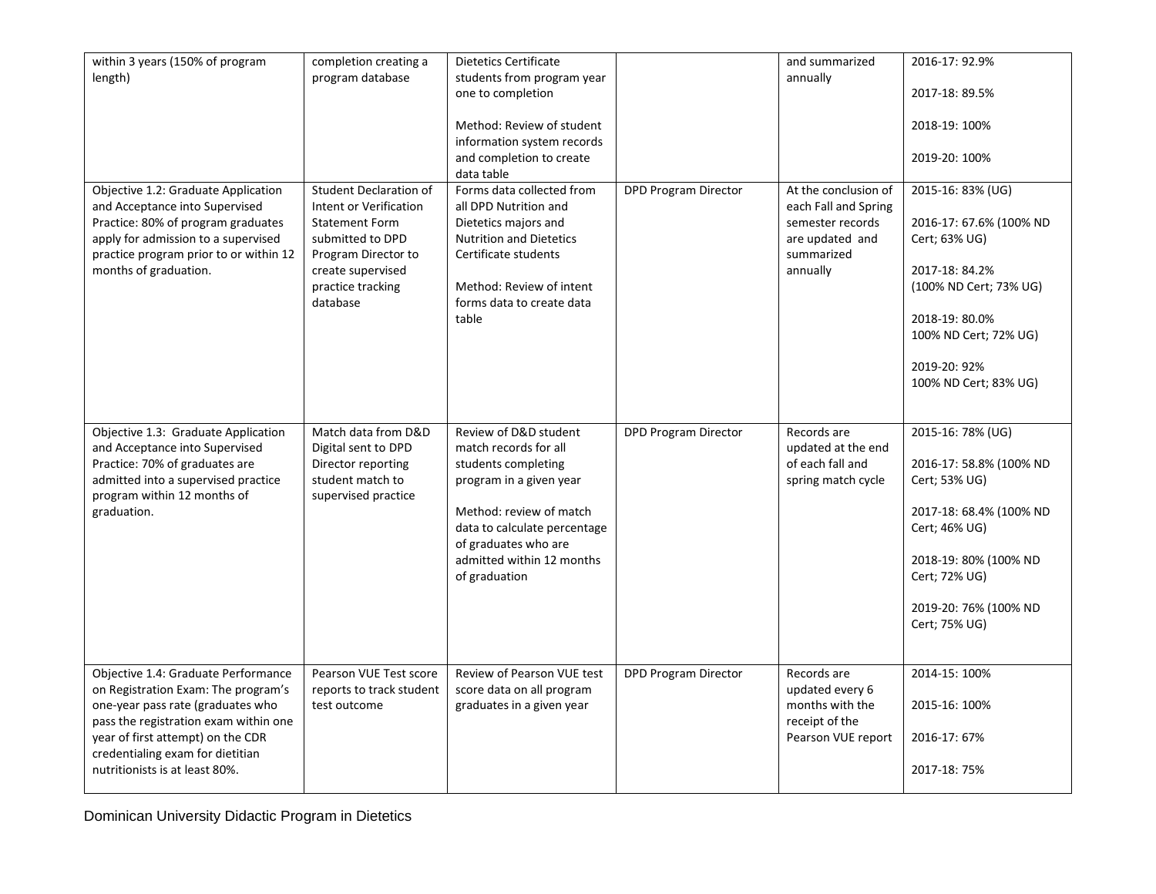| within 3 years (150% of program<br>length)<br>Objective 1.2: Graduate Application<br>and Acceptance into Supervised<br>Practice: 80% of program graduates<br>apply for admission to a supervised<br>practice program prior to or within 12<br>months of graduation. | completion creating a<br>program database<br><b>Student Declaration of</b><br>Intent or Verification<br><b>Statement Form</b><br>submitted to DPD<br>Program Director to<br>create supervised<br>practice tracking<br>database | Dietetics Certificate<br>students from program year<br>one to completion<br>Method: Review of student<br>information system records<br>and completion to create<br>data table<br>Forms data collected from<br>all DPD Nutrition and<br>Dietetics majors and<br><b>Nutrition and Dietetics</b><br>Certificate students<br>Method: Review of intent<br>forms data to create data<br>table | <b>DPD Program Director</b> | and summarized<br>annually<br>At the conclusion of<br>each Fall and Spring<br>semester records<br>are updated and<br>summarized<br>annually | 2016-17: 92.9%<br>2017-18: 89.5%<br>2018-19: 100%<br>2019-20: 100%<br>2015-16: 83% (UG)<br>2016-17: 67.6% (100% ND<br>Cert; 63% UG)<br>2017-18: 84.2%<br>(100% ND Cert; 73% UG)<br>2018-19: 80.0%<br>100% ND Cert; 72% UG)<br>2019-20: 92%<br>100% ND Cert; 83% UG) |
|---------------------------------------------------------------------------------------------------------------------------------------------------------------------------------------------------------------------------------------------------------------------|--------------------------------------------------------------------------------------------------------------------------------------------------------------------------------------------------------------------------------|-----------------------------------------------------------------------------------------------------------------------------------------------------------------------------------------------------------------------------------------------------------------------------------------------------------------------------------------------------------------------------------------|-----------------------------|---------------------------------------------------------------------------------------------------------------------------------------------|---------------------------------------------------------------------------------------------------------------------------------------------------------------------------------------------------------------------------------------------------------------------|
| Objective 1.3: Graduate Application<br>and Acceptance into Supervised<br>Practice: 70% of graduates are<br>admitted into a supervised practice<br>program within 12 months of<br>graduation.                                                                        | Match data from D&D<br>Digital sent to DPD<br>Director reporting<br>student match to<br>supervised practice                                                                                                                    | Review of D&D student<br>match records for all<br>students completing<br>program in a given year<br>Method: review of match<br>data to calculate percentage<br>of graduates who are<br>admitted within 12 months<br>of graduation                                                                                                                                                       | <b>DPD Program Director</b> | Records are<br>updated at the end<br>of each fall and<br>spring match cycle                                                                 | 2015-16: 78% (UG)<br>2016-17: 58.8% (100% ND<br>Cert; 53% UG)<br>2017-18: 68.4% (100% ND<br>Cert; 46% UG)<br>2018-19: 80% (100% ND<br>Cert; 72% UG)<br>2019-20: 76% (100% ND<br>Cert; 75% UG)                                                                       |
| Objective 1.4: Graduate Performance<br>on Registration Exam: The program's<br>one-year pass rate (graduates who<br>pass the registration exam within one<br>year of first attempt) on the CDR<br>credentialing exam for dietitian<br>nutritionists is at least 80%. | Pearson VUE Test score<br>reports to track student<br>test outcome                                                                                                                                                             | Review of Pearson VUE test<br>score data on all program<br>graduates in a given year                                                                                                                                                                                                                                                                                                    | <b>DPD Program Director</b> | Records are<br>updated every 6<br>months with the<br>receipt of the<br>Pearson VUE report                                                   | 2014-15: 100%<br>2015-16: 100%<br>2016-17: 67%<br>2017-18: 75%                                                                                                                                                                                                      |

Dominican University Didactic Program in Dietetics